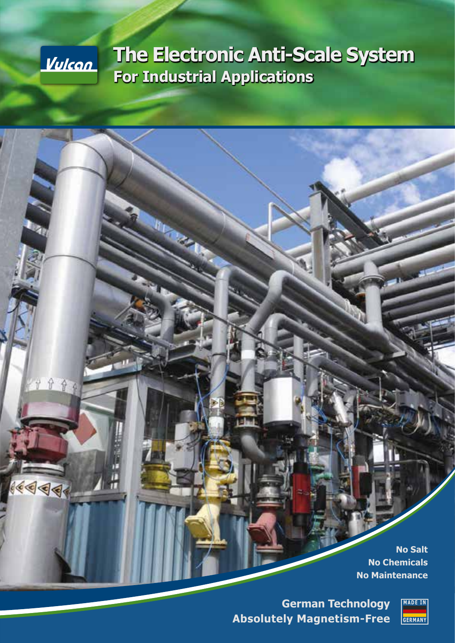

分分

 $14999$ 

π

# **The Electronic Anti-Scale System For Industrial Applications**

**No Salt No Chemicals No Maintenance**

**German Technology Absolutely Magnetism-Free**

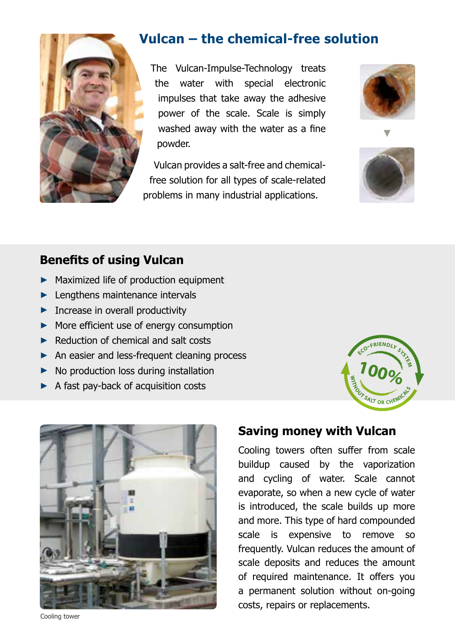

# **Vulcan – the chemical-free solution**

The Vulcan-Impulse-Technology treats the water with special electronic impulses that take away the adhesive power of the scale. Scale is simply washed away with the water as a fine powder.

Vulcan provides a salt-free and chemicalfree solution for all types of scale-related problems in many industrial applications.





### **Benefits of using Vulcan**

- ► Maximized life of production equipment
- ► Lengthens maintenance intervals
- ► Increase in overall productivity
- ► More efficient use of energy consumption
- ► Reduction of chemical and salt costs
- ► An easier and less-frequent cleaning process
- ► No production loss during installation
- ► A fast pay-back of acquisition costs





#### **Saving money with Vulcan**

Cooling towers often suffer from scale buildup caused by the vaporization and cycling of water. Scale cannot evaporate, so when a new cycle of water is introduced, the scale builds up more and more. This type of hard compounded scale is expensive to remove so frequently. Vulcan reduces the amount of scale deposits and reduces the amount of required maintenance. It offers you a permanent solution without on-going costs, repairs or replacements.

Cooling tower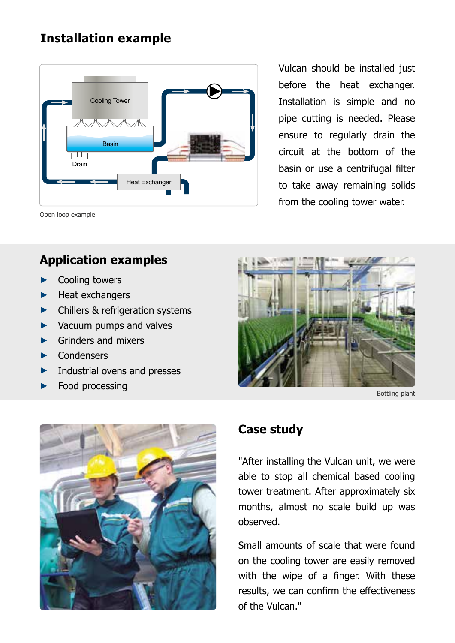## **Installation example**



Vulcan should be installed just before the heat exchanger. Installation is simple and no pipe cutting is needed. Please ensure to regularly drain the circuit at the bottom of the basin or use a centrifugal filter to take away remaining solids from the cooling tower water.

Open loop example

#### **Application examples**

- Cooling towers
- ► Heat exchangers
- ► Chillers & refrigeration systems
- ► Vacuum pumps and valves
- ► Grinders and mixers
- ► Condensers
- ► Industrial ovens and presses
- ► Food processing





#### **Case study**

"After installing the Vulcan unit, we were able to stop all chemical based cooling tower treatment. After approximately six months, almost no scale build up was observed.

Small amounts of scale that were found on the cooling tower are easily removed with the wipe of a finger. With these results, we can confirm the effectiveness of the Vulcan."